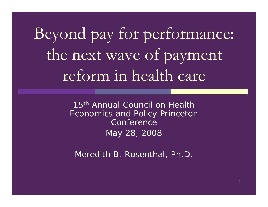Beyond pay for performance: the next wave of payment reform in health care

> 15<sup>th</sup> Annual Council on Health Economics and Policy Princeton **Conference** May 28, 2008

Meredith B. Rosenthal, Ph.D.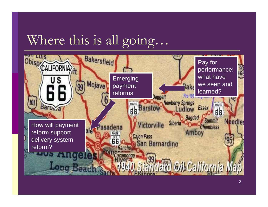## Where this is all going…

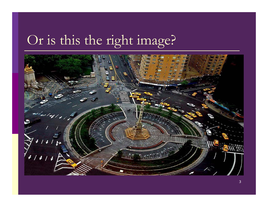# Or is this the right image?

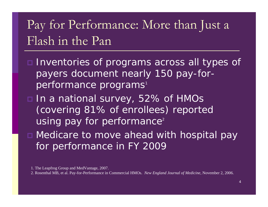### Pay for Performance: More than Just a Flash in the Pan

- □ Inventories of programs across all types of payers document nearly 150 pay-forperformance programs<sup>1</sup>
- □ In a national survey, 52% of HMOs (covering 81% of enrollees) reported using pay for performance $^{\scriptscriptstyle 2}$
- □ Medicare to move ahead with hospital pay for performance in FY 2009

<sup>1.</sup> The Leapfrog Group and MedVantage, 2007.

<sup>2.</sup> Rosenthal MB, et al. Pay-for-Performance in Commercial HMOs. *New England Journal of Medicine*, November 2, 2006.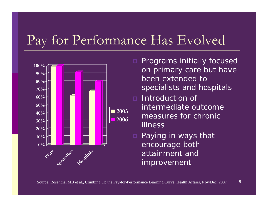### Pay for Performance Has Evolved



- n Programs initially focused on primary care but have been extended to specialists and hospitals
- Introduction of intermediate outcome measures for chronic illness
- Paying in ways that encourage both attainment and improvement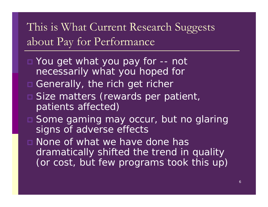#### This is What Current Research Suggests about Pay for Performance

- You get what you pay for -- not necessarily what you hoped for
- Generally, the rich get richer
- Size matters (rewards per patient, patients affected)
- Some gaming may occur, but no glaring signs of adverse effects
- □ None of what we have done has dramatically shifted the trend in quality (or cost, but few programs took this up)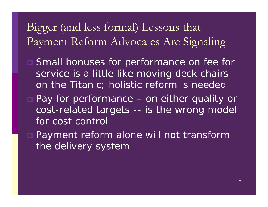#### Bigger (and less formal) Lessons that Payment Reform Advocates Are Signaling

- □ Small bonuses for performance on fee for service is a little like moving deck chairs on the Titanic; holistic reform is needed
- Pay for performance on either quality or cost-related targets -- is the wrong model for cost control
- Payment reform alone will not transform the delivery system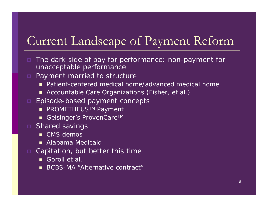#### Current Landscape of Payment Reform

- The dark side of pay for performance: non-payment for unacceptable performance
- Payment married to structure
	- Patient-centered medical home/advanced medical home
	- Accountable Care Organizations (Fisher, et al.)
- Episode-based payment concepts
	- PROMETHEUS<sup>™</sup> Payment
	- Geisinger's ProvenCare™
- Shared savings
	- CMS demos
	- Alabama Medicaid
- Capitation, but better this time
	- Goroll et al.
	- × BCBS-MA "Alternative contract"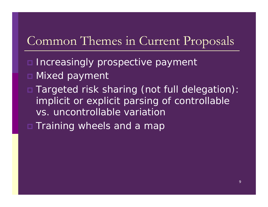#### Common Themes in Current Proposals

- □ Increasingly prospective payment
- Mixed payment
- Targeted risk sharing (not full delegation): implicit or explicit parsing of controllable vs. uncontrollable variation
- □ Training wheels and a map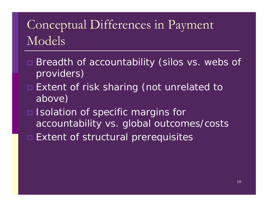### Conceptual Differences in Payment Models

- □ Breadth of accountability (silos vs. webs of providers)
- Extent of risk sharing (not unrelated to above)
- Isolation of specific margins for accountability vs. global outcomes/costs
- □ Extent of structural prerequisites